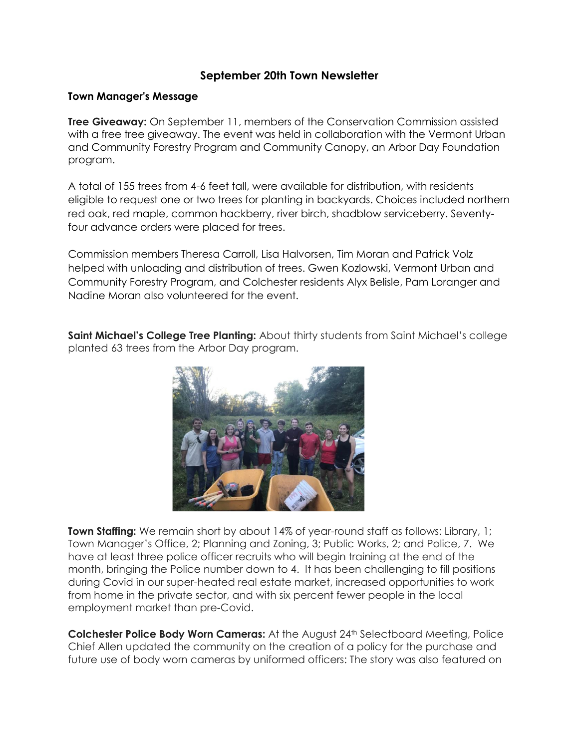## **September 20th Town Newsletter**

### **Town Manager's Message**

**Tree Giveaway:** On September 11, members of the Conservation Commission assisted with a free tree giveaway. The event was held in collaboration with the Vermont Urban and Community Forestry Program and Community Canopy, an Arbor Day Foundation program.

A total of 155 trees from 4-6 feet tall, were available for distribution, with residents eligible to request one or two trees for planting in backyards. Choices included northern red oak, red maple, common hackberry, river birch, shadblow serviceberry. Seventyfour advance orders were placed for trees.

Commission members Theresa Carroll, Lisa Halvorsen, Tim Moran and Patrick Volz helped with unloading and distribution of trees. Gwen Kozlowski, Vermont Urban and Community Forestry Program, and Colchester residents Alyx Belisle, Pam Loranger and Nadine Moran also volunteered for the event.

**Saint Michael's College Tree Planting:** About thirty students from Saint Michael's college planted 63 trees from the Arbor Day program.



**Town Staffing:** We remain short by about 14% of year-round staff as follows: Library, 1; Town Manager's Office, 2; Planning and Zoning, 3; Public Works, 2; and Police, 7. We have at least three police officer recruits who will begin training at the end of the month, bringing the Police number down to 4. It has been challenging to fill positions during Covid in our super-heated real estate market, increased opportunities to work from home in the private sector, and with six percent fewer people in the local employment market than pre-Covid.

**Colchester Police Body Worn Cameras:** At the August 24th Selectboard Meeting, Police Chief Allen updated the community on the creation of a policy for the purchase and future use of body worn cameras by uniformed officers: The story was also featured on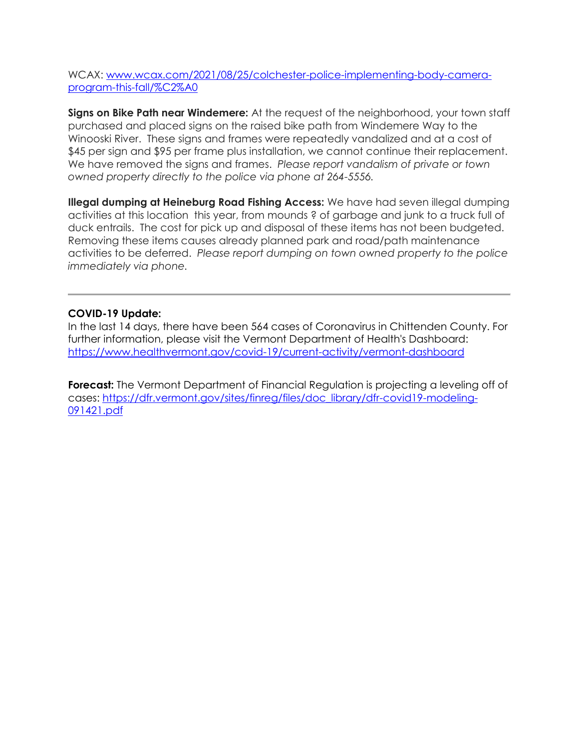WCAX: [www.wcax.com/2021/08/25/colchester-police-implementing-body-camera](http://www.wcax.com/2021/08/25/colchester-police-implementing-body-camera-program-this-fall/%C2%A0)[program-this-fall/%C2%A0](http://www.wcax.com/2021/08/25/colchester-police-implementing-body-camera-program-this-fall/%C2%A0)

**Signs on Bike Path near Windemere:** At the request of the neighborhood, your town staff purchased and placed signs on the raised bike path from Windemere Way to the Winooski River. These signs and frames were repeatedly vandalized and at a cost of \$45 per sign and \$95 per frame plus installation, we cannot continue their replacement. We have removed the signs and frames. *Please report vandalism of private or town owned property directly to the police via phone at 264-5556.*

**Illegal dumping at Heineburg Road Fishing Access:** We have had seven illegal dumping activities at this location this year, from mounds ? of garbage and junk to a truck full of duck entrails. The cost for pick up and disposal of these items has not been budgeted. Removing these items causes already planned park and road/path maintenance activities to be deferred. *Please report dumping on town owned property to the police immediately via phone.*

## **COVID-19 Update:**

In the last 14 days, there have been 564 cases of Coronavirus in Chittenden County. For further information, please visit the Vermont Department of Health's Dashboard: <https://www.healthvermont.gov/covid-19/current-activity/vermont-dashboard>

**Forecast:** The Vermont Department of Financial Regulation is projecting a leveling off of cases: [https://dfr.vermont.gov/sites/finreg/files/doc\\_library/dfr-covid19-modeling-](https://dfr.vermont.gov/sites/finreg/files/doc_library/dfr-covid19-modeling-091421.pdf)[091421.pdf](https://dfr.vermont.gov/sites/finreg/files/doc_library/dfr-covid19-modeling-091421.pdf)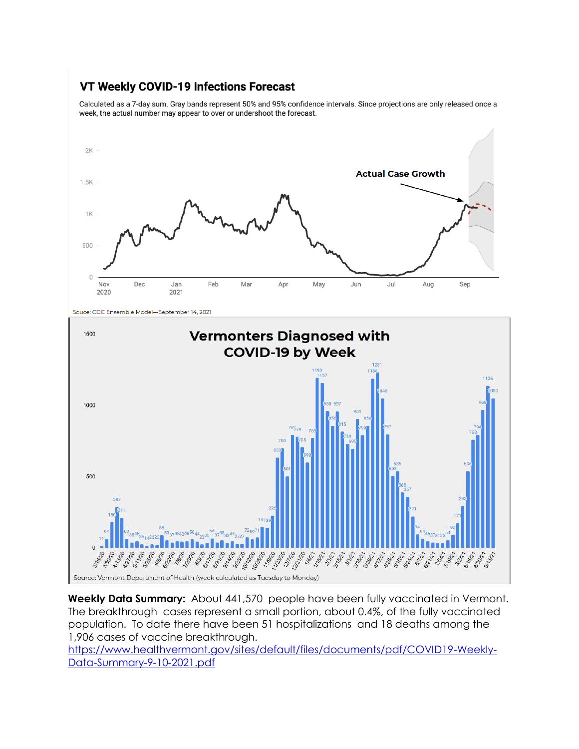# VT Weekly COVID-19 Infections Forecast

Calculated as a 7-day sum. Gray bands represent 50% and 95% confidence intervals. Since projections are only released once a week, the actual number may appear to over or undershoot the forecast.



Souce: CDC Ensemble Model-September 14, 2021



**Weekly Data Summary:** About 441,570 people have been fully vaccinated in Vermont. The breakthrough cases represent a small portion, about 0.4%, of the fully vaccinated population. To date there have been 51 hospitalizations and 18 deaths among the 1,906 cases of vaccine breakthrough.

[https://www.healthvermont.gov/sites/default/files/documents/pdf/COVID19-Weekly-](https://www.healthvermont.gov/sites/default/files/documents/pdf/COVID19-Weekly-Data-Summary-9-10-2021.pdf)[Data-Summary-9-10-2021.pdf](https://www.healthvermont.gov/sites/default/files/documents/pdf/COVID19-Weekly-Data-Summary-9-10-2021.pdf)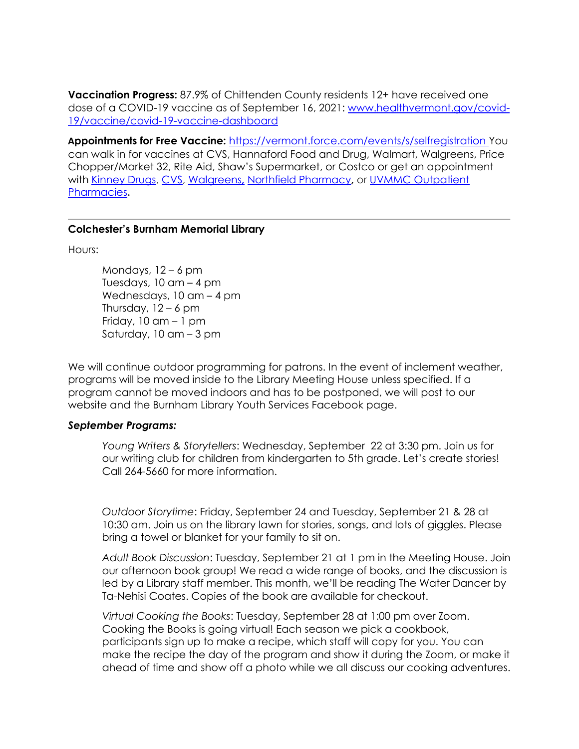**Vaccination Progress:** 87.9% of Chittenden County residents 12+ have received one dose of a COVID-19 vaccine as of September 16, 2021: [www.healthvermont.gov/covid-](http://www.healthvermont.gov/covid-19/vaccine/covid-19-vaccine-dashboard)[19/vaccine/covid-19-vaccine-dashboard](http://www.healthvermont.gov/covid-19/vaccine/covid-19-vaccine-dashboard)

**Appointments for Free Vaccine:** <https://vermont.force.com/events/s/selfregistration> You can walk in for vaccines at CVS, Hannaford Food and Drug, Walmart, Walgreens, Price Chopper/Market 32, Rite Aid, Shaw's Supermarket, or Costco or get an appointment with [Kinney Drugs,](https://kinneydrugs.com/pharmacy/covid-19/vaccination-scheduling/) [CVS,](https://www.cvs.com/immunizations/covid-19-vaccine) [Walgreens](https://www.walgreens.com/schedulevaccine)**,** [Northfield Pharmacy](http://www.northfieldpharmacy.com/)**,** or [UVMMC Outpatient](https://www.uvmhealth.org/medcenter/departments-and-programs/pharmacy-services/schedule-your-covid-19-vaccine)  [Pharmacies](https://www.uvmhealth.org/medcenter/departments-and-programs/pharmacy-services/schedule-your-covid-19-vaccine)**.**

#### **Colchester's Burnham Memorial Library**

Hours:

Mondays,  $12 - 6$  pm Tuesdays, 10 am – 4 pm Wednesdays, 10 am – 4 pm Thursday,  $12 - 6$  pm Friday,  $10$  am  $-1$  pm Saturday, 10 am – 3 pm

We will continue outdoor programming for patrons. In the event of inclement weather, programs will be moved inside to the Library Meeting House unless specified. If a program cannot be moved indoors and has to be postponed, we will post to our website and the Burnham Library Youth Services Facebook page.

### *September Programs:*

*Young Writers & Storytellers*: Wednesday, September 22 at 3:30 pm. Join us for our writing club for children from kindergarten to 5th grade. Let's create stories! Call 264-5660 for more information.

*Outdoor Storytime*: Friday, September 24 and Tuesday, September 21 & 28 at 10:30 am. Join us on the library lawn for stories, songs, and lots of giggles. Please bring a towel or blanket for your family to sit on.

*Adult Book Discussion*: Tuesday, September 21 at 1 pm in the Meeting House. Join our afternoon book group! We read a wide range of books, and the discussion is led by a Library staff member. This month, we'll be reading The Water Dancer by Ta-Nehisi Coates. Copies of the book are available for checkout.

*Virtual Cooking the Books*: Tuesday, September 28 at 1:00 pm over Zoom. Cooking the Books is going virtual! Each season we pick a cookbook, participants sign up to make a recipe, which staff will copy for you. You can make the recipe the day of the program and show it during the Zoom, or make it ahead of time and show off a photo while we all discuss our cooking adventures.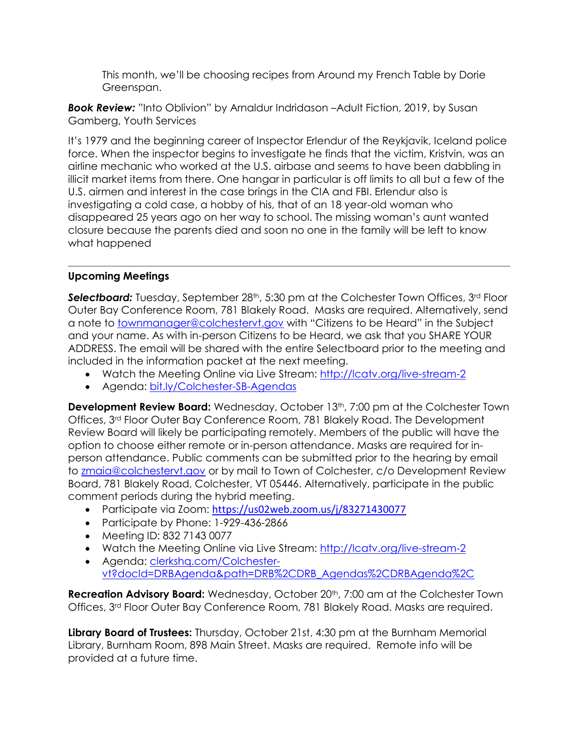This month, we'll be choosing recipes from Around my French Table by Dorie Greenspan.

*Book Review:* "Into Oblivion" by Arnaldur Indridason –Adult Fiction, 2019, by Susan Gamberg, Youth Services

It's 1979 and the beginning career of Inspector Erlendur of the Reykjavik, Iceland police force. When the inspector begins to investigate he finds that the victim, Kristvin, was an airline mechanic who worked at the U.S. airbase and seems to have been dabbling in illicit market items from there. One hangar in particular is off limits to all but a few of the U.S. airmen and interest in the case brings in the CIA and FBI. Erlendur also is investigating a cold case, a hobby of his, that of an 18 year-old woman who disappeared 25 years ago on her way to school. The missing woman's aunt wanted closure because the parents died and soon no one in the family will be left to know what happened

## **Upcoming Meetings**

**Selectboard:** Tuesday, September 28<sup>th</sup>, 5:30 pm at the Colchester Town Offices, 3<sup>rd</sup> Floor Outer Bay Conference Room, 781 Blakely Road. Masks are required. Alternatively, send a note to [townmanager@colchestervt.gov](mailto:townmanager@colchestervt.gov) with "Citizens to be Heard" in the Subject and your name. As with in-person Citizens to be Heard, we ask that you SHARE YOUR ADDRESS. The email will be shared with the entire Selectboard prior to the meeting and included in the information packet at the next meeting.

- Watch the Meeting Online via Live Stream:<http://lcatv.org/live-stream-2>
- Agenda: [bit.ly/Colchester-SB-Agendas](file://///dropbox/Town%20Bulletin%20Board/Town%20Manager/Newsletter/2021/bit.ly/Colchester-SB-Agendas)

**Development Review Board:** Wednesday, October 13<sup>th</sup>, 7:00 pm at the Colchester Town Offices, 3rd Floor Outer Bay Conference Room, 781 Blakely Road. The Development Review Board will likely be participating remotely. Members of the public will have the option to choose either remote or in-person attendance. Masks are required for inperson attendance. Public comments can be submitted prior to the hearing by email to [zmaia@colchestervt.gov](mailto:zmaia@colchestervt.gov) or by mail to Town of Colchester, c/o Development Review Board, 781 Blakely Road, Colchester, VT 05446. Alternatively, participate in the public comment periods during the hybrid meeting.

- Participate via Zoom: <https://us02web.zoom.us/j/83271430077>
- Participate by Phone: 1-929-436-2866
- Meeting ID: 832 7143 0077
- Watch the Meeting Online via Live Stream: [http://lcatv.org/live-stream-2](https://r20.rs6.net/tn.jsp?f=001XbSGd8nVT6SAu_SJpaR1QZk-8V24b9BP3cfY3V8W0JmbsDf_YLlrsT2992lf25PlqxP0EPnw2hzwTvACz9Qo5Ji-nd1cZir-BmYJEPxS7Yq-wcDxUWCu96sMti7jiPSpL9Qkya0rAeBTHYx45G9Dhw==&c=&ch=)
- Agenda: [clerkshq.com/Colchester](https://r20.rs6.net/tn.jsp?f=001XbSGd8nVT6SAu_SJpaR1QZk-8V24b9BP3cfY3V8W0JmbsDf_YLlrsWcDcEgRlAf6-bRP7WMwF0oUm6b9ByFtVVtELzZUHZZwuuuoAoh26H773lxiMYWZumo-S7sUif2mA5ay36xpxNQePTNYOKUNRbYKLQ0p8M1UhGJNdFREsGOsx95rDahRoMIQLVY_eXj0h6kW9Z_uu-16BpTuQpNsNYdwKvXtFNaUhdKaOuKCpY9dXq82-u4mtg==&c=&ch=)[vt?docId=DRBAgenda&path=DRB%2CDRB\\_Agendas%2CDRBAgenda%2C](https://r20.rs6.net/tn.jsp?f=001XbSGd8nVT6SAu_SJpaR1QZk-8V24b9BP3cfY3V8W0JmbsDf_YLlrsWcDcEgRlAf6-bRP7WMwF0oUm6b9ByFtVVtELzZUHZZwuuuoAoh26H773lxiMYWZumo-S7sUif2mA5ay36xpxNQePTNYOKUNRbYKLQ0p8M1UhGJNdFREsGOsx95rDahRoMIQLVY_eXj0h6kW9Z_uu-16BpTuQpNsNYdwKvXtFNaUhdKaOuKCpY9dXq82-u4mtg==&c=&ch=)

**Recreation Advisory Board:** Wednesday, October 20<sup>th</sup>, 7:00 am at the Colchester Town Offices, 3rd Floor Outer Bay Conference Room, 781 Blakely Road. Masks are required.

**Library Board of Trustees:** Thursday, October 21st, 4:30 pm at the Burnham Memorial Library, Burnham Room, 898 Main Street. Masks are required. Remote info will be provided at a future time.